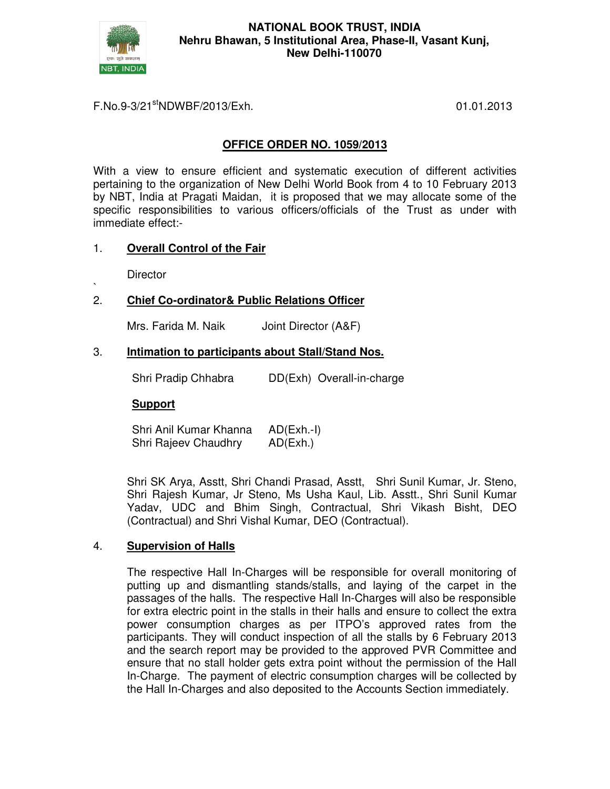

# F.No.9-3/21stNDWBF/2013/Exh. 01.01.2013

# **OFFICE ORDER NO. 1059/2013**

With a view to ensure efficient and systematic execution of different activities pertaining to the organization of New Delhi World Book from 4 to 10 February 2013 by NBT, India at Pragati Maidan, it is proposed that we may allocate some of the specific responsibilities to various officers/officials of the Trust as under with immediate effect:-

# 1. **Overall Control of the Fair**

**Director** 

#### ` 2. **Chief Co-ordinator& Public Relations Officer**

Mrs. Farida M. Naik Joint Director (A&F)

### 3. **Intimation to participants about Stall/Stand Nos.**

Shri Pradip Chhabra DD(Exh) Overall-in-charge

# **Support**

Shri Anil Kumar Khanna AD(Exh.-I) Shri Rajeev Chaudhry AD(Exh.)

Shri SK Arya, Asstt, Shri Chandi Prasad, Asstt, Shri Sunil Kumar, Jr. Steno, Shri Rajesh Kumar, Jr Steno, Ms Usha Kaul, Lib. Asstt., Shri Sunil Kumar Yadav, UDC and Bhim Singh, Contractual, Shri Vikash Bisht, DEO (Contractual) and Shri Vishal Kumar, DEO (Contractual).

# 4. **Supervision of Halls**

The respective Hall In-Charges will be responsible for overall monitoring of putting up and dismantling stands/stalls, and laying of the carpet in the passages of the halls. The respective Hall In-Charges will also be responsible for extra electric point in the stalls in their halls and ensure to collect the extra power consumption charges as per ITPO's approved rates from the participants. They will conduct inspection of all the stalls by 6 February 2013 and the search report may be provided to the approved PVR Committee and ensure that no stall holder gets extra point without the permission of the Hall In-Charge. The payment of electric consumption charges will be collected by the Hall In-Charges and also deposited to the Accounts Section immediately.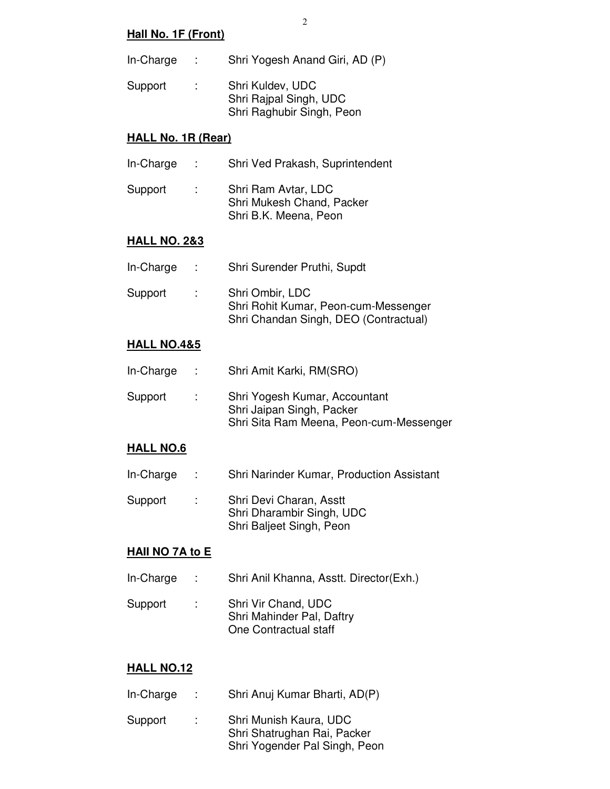# **Hall No. 1F (Front)**

In-Charge : Shri Yogesh Anand Giri, AD (P) Support : Shri Kuldev, UDC Shri Rajpal Singh, UDC

### **HALL No. 1R (Rear)**

- In-Charge : Shri Ved Prakash, Suprintendent
- Support : Shri Ram Avtar, LDC Shri Mukesh Chand, Packer Shri B.K. Meena, Peon

#### **HALL NO. 2&3**

| In-Charge | $\sim$ | Shri Surender Pruthi, Supdt                                                                      |
|-----------|--------|--------------------------------------------------------------------------------------------------|
| Support   | G.     | Shri Ombir, LDC<br>Shri Rohit Kumar, Peon-cum-Messenger<br>Shri Chandan Singh, DEO (Contractual) |

### **HALL NO.4&5**

| In-Charge | ÷.             | Shri Amit Karki, RM(SRO)                                                                              |
|-----------|----------------|-------------------------------------------------------------------------------------------------------|
| Support   | $\mathbb{R}^n$ | Shri Yogesh Kumar, Accountant<br>Shri Jaipan Singh, Packer<br>Shri Sita Ram Meena, Peon-cum-Messenger |

#### **HALL NO.6**

- In-Charge : Shri Narinder Kumar, Production Assistant
- Support : Shri Devi Charan, Asstt Shri Dharambir Singh, UDC Shri Baljeet Singh, Peon

#### **HAII NO 7A to E**

- In-Charge : Shri Anil Khanna, Asstt. Director(Exh.)
- Support : Shri Vir Chand, UDC Shri Mahinder Pal, Daftry One Contractual staff

# **HALL NO.12**

- In-Charge : Shri Anuj Kumar Bharti, AD(P)
- Support : Shri Munish Kaura, UDC Shri Shatrughan Rai, Packer Shri Yogender Pal Singh, Peon

Shri Raghubir Singh, Peon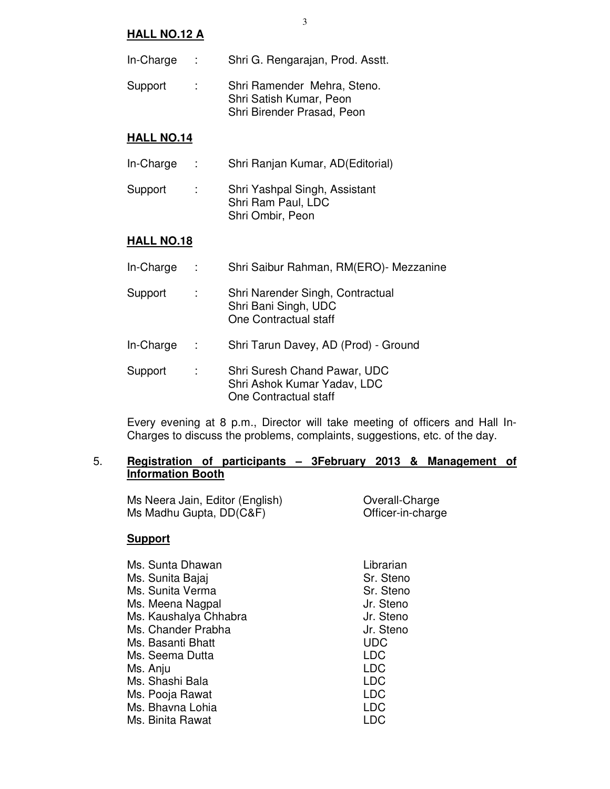#### **HALL NO.12 A**

- In-Charge : Shri G. Rengarajan, Prod. Asstt.
- Support : Shri Ramender Mehra, Steno. Shri Satish Kumar, Peon Shri Birender Prasad, Peon

### **HALL NO.14**

- In-Charge : Shri Ranjan Kumar, AD(Editorial)
- Support : Shri Yashpal Singh, Assistant Shri Ram Paul, LDC Shri Ombir, Peon

# **HALL NO.18**

| In-Charge |   | Shri Saibur Rahman, RM(ERO)- Mezzanine                                               |
|-----------|---|--------------------------------------------------------------------------------------|
| Support   | ÷ | Shri Narender Singh, Contractual<br>Shri Bani Singh, UDC<br>One Contractual staff    |
| In-Charge | ÷ | Shri Tarun Davey, AD (Prod) - Ground                                                 |
| Support   |   | Shri Suresh Chand Pawar, UDC<br>Shri Ashok Kumar Yadav, LDC<br>One Contractual staff |

Every evening at 8 p.m., Director will take meeting of officers and Hall In-Charges to discuss the problems, complaints, suggestions, etc. of the day.

### 5. **Registration of participants – 3February 2013 & Management of Information Booth**

Ms Neera Jain, Editor (English) Overall-Charge Ms Madhu Gupta, DD(C&F) **Canadia Contract Contract Contract Contract Contract Contract Contract Contract Contract Contract Contract Contract Contract Contract Contract Contract Contract Contract Contract Contract Contract** 

# **Support**

| Ms. Sunta Dhawan<br>Ms. Sunita Bajaj<br>Ms. Sunita Verma<br>Ms. Meena Nagpal<br>Ms. Kaushalya Chhabra<br>Ms. Chander Prabha<br>Ms. Basanti Bhatt<br>Ms. Seema Dutta<br>Ms. Anju<br>Ms. Shashi Bala | Librarian<br>Sr. Steno<br>Sr. Steno<br>Jr. Steno<br>Jr. Steno<br>Jr. Steno<br>UDC<br>LDC<br><b>LDC</b><br>LDC<br>LDC |
|----------------------------------------------------------------------------------------------------------------------------------------------------------------------------------------------------|----------------------------------------------------------------------------------------------------------------------|
| Ms. Pooja Rawat                                                                                                                                                                                    |                                                                                                                      |
| Ms. Bhavna Lohia                                                                                                                                                                                   | LDC                                                                                                                  |
| Ms. Binita Rawat                                                                                                                                                                                   |                                                                                                                      |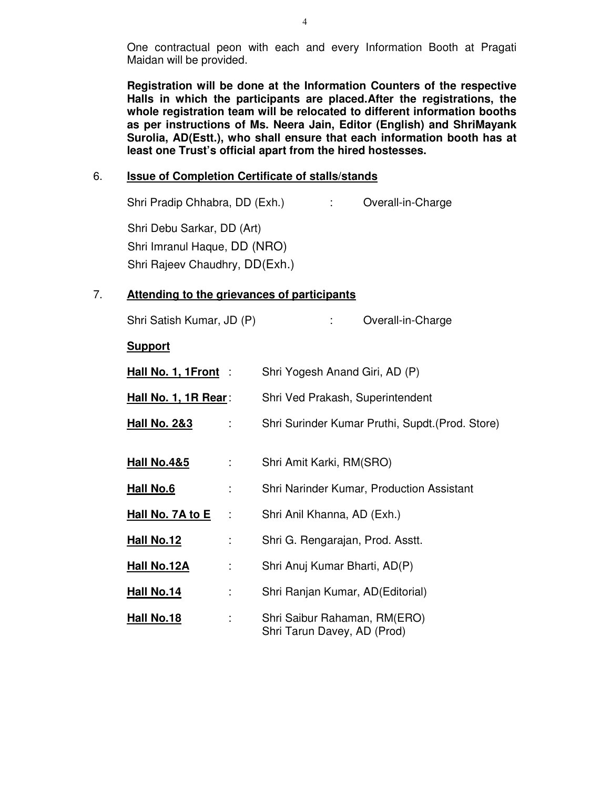One contractual peon with each and every Information Booth at Pragati Maidan will be provided.

**Registration will be done at the Information Counters of the respective Halls in which the participants are placed.After the registrations, the whole registration team will be relocated to different information booths as per instructions of Ms. Neera Jain, Editor (English) and ShriMayank Surolia, AD(Estt.), who shall ensure that each information booth has at least one Trust's official apart from the hired hostesses.** 

### 6. **Issue of Completion Certificate of stalls/stands**

Shri Pradip Chhabra, DD (Exh.) : Overall-in-Charge Shri Debu Sarkar, DD (Art) Shri Imranul Haque, DD (NRO) Shri Rajeev Chaudhry, DD(Exh.)

# 7. **Attending to the grievances of participants**

| Shri Satish Kumar, JD (P)     | Overall-in-Charge                                           |
|-------------------------------|-------------------------------------------------------------|
| <b>Support</b>                |                                                             |
| Hall No. 1, 1Front:           | Shri Yogesh Anand Giri, AD (P)                              |
| <u> Hall No. 1, 1R Rear</u> : | Shri Ved Prakash, Superintendent                            |
| <u>Hall No. 2&amp;3</u><br>÷  | Shri Surinder Kumar Pruthi, Supdt. (Prod. Store)            |
| <u>Hall No.4&amp;5</u><br>÷   | Shri Amit Karki, RM(SRO)                                    |
| <u>Hall No.6</u><br>÷         | Shri Narinder Kumar, Production Assistant                   |
| Hall No. 7A to E<br>÷         | Shri Anil Khanna, AD (Exh.)                                 |
| <u> Hall No.12</u><br>t,      | Shri G. Rengarajan, Prod. Asstt.                            |
| <u>Hall No.12A</u><br>t,      | Shri Anuj Kumar Bharti, AD(P)                               |
| Hall No.14<br>÷               | Shri Ranjan Kumar, AD (Editorial)                           |
| <u> Hall No.18</u><br>÷       | Shri Saibur Rahaman, RM(ERO)<br>Shri Tarun Davey, AD (Prod) |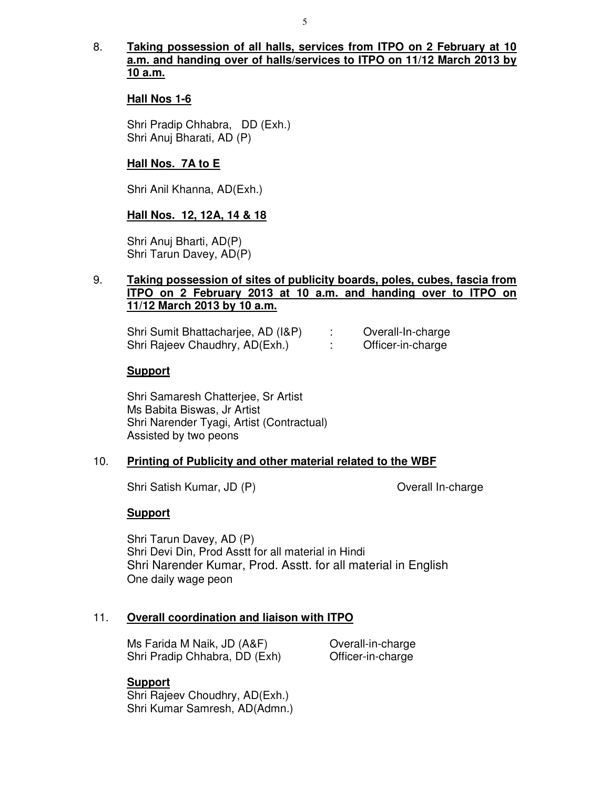# 8. **Taking possession of all halls, services from ITPO on 2 February at 10 a.m. and handing over of halls/services to ITPO on 11/12 March 2013 by 10 a.m.**

### **Hall Nos 1-6**

Shri Pradip Chhabra, DD (Exh.) Shri Anuj Bharati, AD (P)

### **Hall Nos. 7A to E**

Shri Anil Khanna, AD(Exh.)

### **Hall Nos. 12, 12A, 14 & 18**

Shri Anuj Bharti, AD(P) Shri Tarun Davey, AD(P)

# 9. **Taking possession of sites of publicity boards, poles, cubes, fascia from ITPO on 2 February 2013 at 10 a.m. and handing over to ITPO on 11/12 March 2013 by 10 a.m.**

| Shri Sumit Bhattacharjee, AD (I&P) | Overall-In-charge |
|------------------------------------|-------------------|
| Shri Rajeev Chaudhry, AD(Exh.)     | Officer-in-charge |

#### **Support**

 Shri Samaresh Chatterjee, Sr Artist Ms Babita Biswas, Jr Artist Shri Narender Tyagi, Artist (Contractual) Assisted by two peons

#### 10. **Printing of Publicity and other material related to the WBF**

Shri Satish Kumar, JD (P) Overall In-charge

#### **Support**

 Shri Tarun Davey, AD (P) Shri Devi Din, Prod Asstt for all material in Hindi Shri Narender Kumar, Prod. Asstt. for all material in English One daily wage peon

#### 11. **Overall coordination and liaison with ITPO**

Ms Farida M Naik, JD (A&F) **Overall-in-charge** Shri Pradip Chhabra, DD (Exh) Officer-in-charge

#### **Support**

 Shri Rajeev Choudhry, AD(Exh.) Shri Kumar Samresh, AD(Admn.)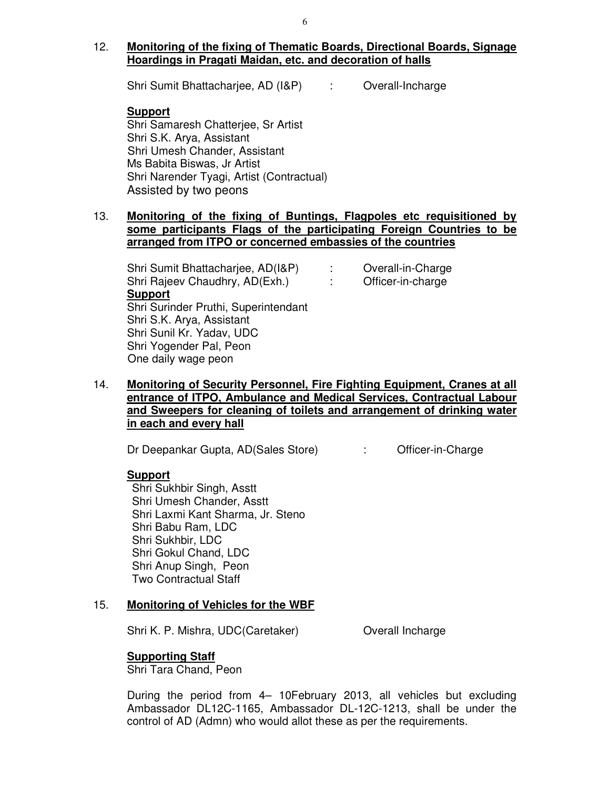Shri Sumit Bhattacharjee, AD (I&P) : Overall-Incharge

# **Support**

 Shri Samaresh Chatterjee, Sr Artist Shri S.K. Arya, Assistant Shri Umesh Chander, Assistant Ms Babita Biswas, Jr Artist Shri Narender Tyagi, Artist (Contractual) Assisted by two peons

# 13. **Monitoring of the fixing of Buntings, Flagpoles etc requisitioned by some participants Flags of the participating Foreign Countries to be arranged from ITPO or concerned embassies of the countries**

 Shri Sumit Bhattacharjee, AD(I&P) : Overall-in-Charge Shri Rajeev Chaudhry, AD(Exh.) : Officer-in-charge **Support**  Shri Surinder Pruthi, Superintendant Shri S.K. Arya, Assistant Shri Sunil Kr. Yadav, UDC Shri Yogender Pal, Peon One daily wage peon

14. **Monitoring of Security Personnel, Fire Fighting Equipment, Cranes at all entrance of ITPO, Ambulance and Medical Services, Contractual Labour and Sweepers for cleaning of toilets and arrangement of drinking water in each and every hall** 

Dr Deepankar Gupta, AD(Sales Store) : Cofficer-in-Charge

# **Support**

Shri Sukhbir Singh, Asstt Shri Umesh Chander, Asstt Shri Laxmi Kant Sharma, Jr. Steno Shri Babu Ram, LDC Shri Sukhbir, LDC Shri Gokul Chand, LDC Shri Anup Singh, Peon Two Contractual Staff

# 15. **Monitoring of Vehicles for the WBF**

Shri K. P. Mishra, UDC(Caretaker) **Overall Incharge** 

# **Supporting Staff**

Shri Tara Chand, Peon

During the period from 4– 10February 2013, all vehicles but excluding Ambassador DL12C-1165, Ambassador DL-12C-1213, shall be under the control of AD (Admn) who would allot these as per the requirements.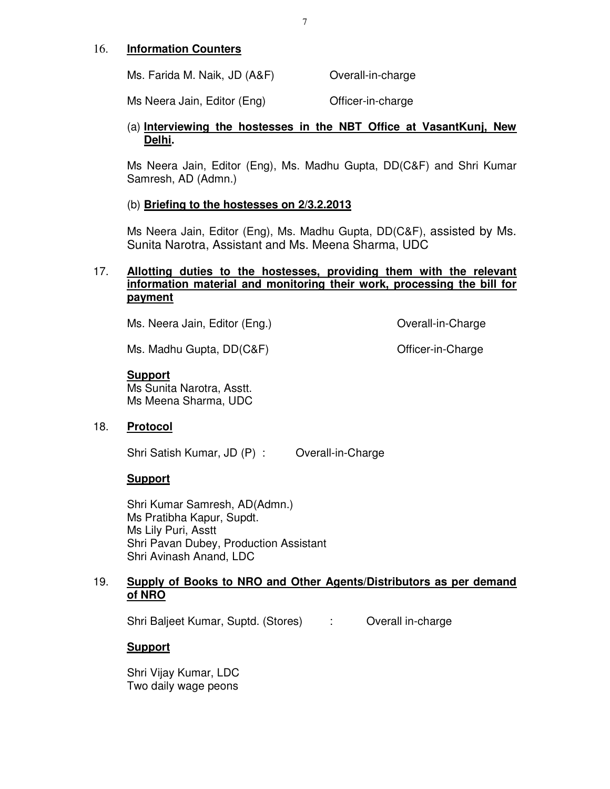### 16. **Information Counters**

Ms. Farida M. Naik, JD (A&F) **Overall-in-charge** 

Ms Neera Jain, Editor (Eng) Cofficer-in-charge

# (a) **Interviewing the hostesses in the NBT Office at VasantKunj, New Delhi.**

Ms Neera Jain, Editor (Eng), Ms. Madhu Gupta, DD(C&F) and Shri Kumar Samresh, AD (Admn.)

# (b) **Briefing to the hostesses on 2/3.2.2013**

Ms Neera Jain, Editor (Eng), Ms. Madhu Gupta, DD(C&F), assisted by Ms. Sunita Narotra, Assistant and Ms. Meena Sharma, UDC

# 17. **Allotting duties to the hostesses, providing them with the relevant information material and monitoring their work, processing the bill for payment**

Ms. Neera Jain, Editor (Eng.) Contract Contract Charge Contract Charge

Ms. Madhu Gupta, DD(C&F) CHARG CONSTRIBUTE: Charge

# **Support**

Ms Sunita Narotra, Asstt. Ms Meena Sharma, UDC

# 18. **Protocol**

Shri Satish Kumar, JD (P) : Overall-in-Charge

# **Support**

 Shri Kumar Samresh, AD(Admn.) Ms Pratibha Kapur, Supdt. Ms Lily Puri, Asstt Shri Pavan Dubey, Production Assistant Shri Avinash Anand, LDC

# 19. **Supply of Books to NRO and Other Agents/Distributors as per demand of NRO**

Shri Baljeet Kumar, Suptd. (Stores) : Overall in-charge

# **Support**

Shri Vijay Kumar, LDC Two daily wage peons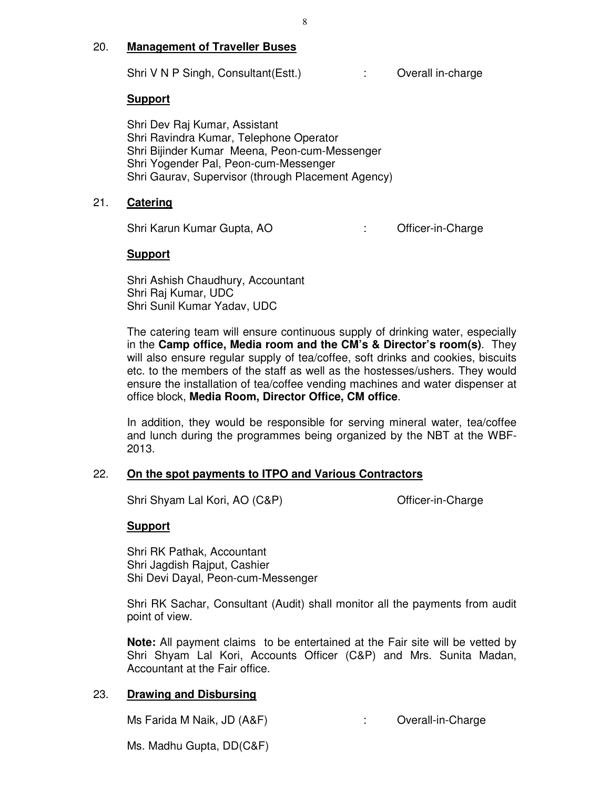# 20. **Management of Traveller Buses**

Shri V N P Singh, Consultant (Estt.) : Overall in-charge

# **Support**

Shri Dev Raj Kumar, Assistant Shri Ravindra Kumar, Telephone Operator Shri Bijinder Kumar Meena, Peon-cum-Messenger Shri Yogender Pal, Peon-cum-Messenger Shri Gaurav, Supervisor (through Placement Agency)

# 21. **Catering**

Shri Karun Kumar Gupta, AO : Christian Charge Charge Charge

# **Support**

Shri Ashish Chaudhury, Accountant Shri Raj Kumar, UDC Shri Sunil Kumar Yadav, UDC

The catering team will ensure continuous supply of drinking water, especially in the **Camp office, Media room and the CM's & Director's room(s)**. They will also ensure regular supply of tea/coffee, soft drinks and cookies, biscuits etc. to the members of the staff as well as the hostesses/ushers. They would ensure the installation of tea/coffee vending machines and water dispenser at office block, **Media Room, Director Office, CM office**.

In addition, they would be responsible for serving mineral water, tea/coffee and lunch during the programmes being organized by the NBT at the WBF-2013.

# 22. **On the spot payments to ITPO and Various Contractors**

Shri Shyam Lal Kori, AO (C&P) Charge Charge Charge Charge

# **Support**

Shri RK Pathak, Accountant Shri Jagdish Rajput, Cashier Shi Devi Dayal, Peon-cum-Messenger

Shri RK Sachar, Consultant (Audit) shall monitor all the payments from audit point of view.

**Note:** All payment claims to be entertained at the Fair site will be vetted by Shri Shyam Lal Kori, Accounts Officer (C&P) and Mrs. Sunita Madan, Accountant at the Fair office.

# 23. **Drawing and Disbursing**

Ms Farida M Naik, JD (A&F) : Overall-in-Charge

Ms. Madhu Gupta, DD(C&F)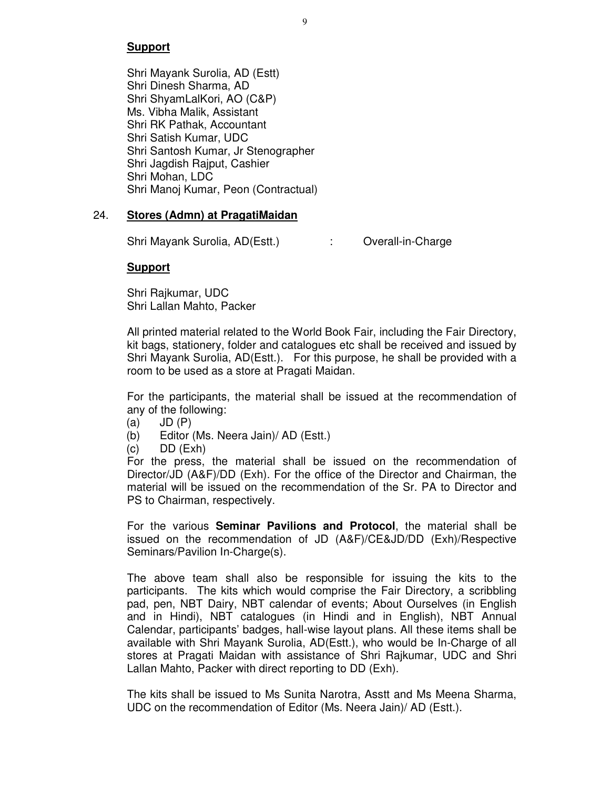Shri Mayank Surolia, AD (Estt) Shri Dinesh Sharma, AD Shri ShyamLalKori, AO (C&P) Ms. Vibha Malik, Assistant Shri RK Pathak, Accountant Shri Satish Kumar, UDC Shri Santosh Kumar, Jr Stenographer Shri Jagdish Rajput, Cashier Shri Mohan, LDC Shri Manoj Kumar, Peon (Contractual)

# 24. **Stores (Admn) at PragatiMaidan**

Shri Mayank Surolia, AD(Estt.) : Cverall-in-Charge

# **Support**

Shri Rajkumar, UDC Shri Lallan Mahto, Packer

All printed material related to the World Book Fair, including the Fair Directory, kit bags, stationery, folder and catalogues etc shall be received and issued by Shri Mayank Surolia, AD(Estt.). For this purpose, he shall be provided with a room to be used as a store at Pragati Maidan.

For the participants, the material shall be issued at the recommendation of any of the following:

- $(a)$  JD  $(P)$
- (b) Editor (Ms. Neera Jain)/ AD (Estt.)
- $(c)$  DD  $(Exh)$

For the press, the material shall be issued on the recommendation of Director/JD (A&F)/DD (Exh). For the office of the Director and Chairman, the material will be issued on the recommendation of the Sr. PA to Director and PS to Chairman, respectively.

For the various **Seminar Pavilions and Protocol**, the material shall be issued on the recommendation of JD (A&F)/CE&JD/DD (Exh)/Respective Seminars/Pavilion In-Charge(s).

The above team shall also be responsible for issuing the kits to the participants. The kits which would comprise the Fair Directory, a scribbling pad, pen, NBT Dairy, NBT calendar of events; About Ourselves (in English and in Hindi), NBT catalogues (in Hindi and in English), NBT Annual Calendar, participants' badges, hall-wise layout plans. All these items shall be available with Shri Mayank Surolia, AD(Estt.), who would be In-Charge of all stores at Pragati Maidan with assistance of Shri Rajkumar, UDC and Shri Lallan Mahto, Packer with direct reporting to DD (Exh).

The kits shall be issued to Ms Sunita Narotra, Asstt and Ms Meena Sharma, UDC on the recommendation of Editor (Ms. Neera Jain)/ AD (Estt.).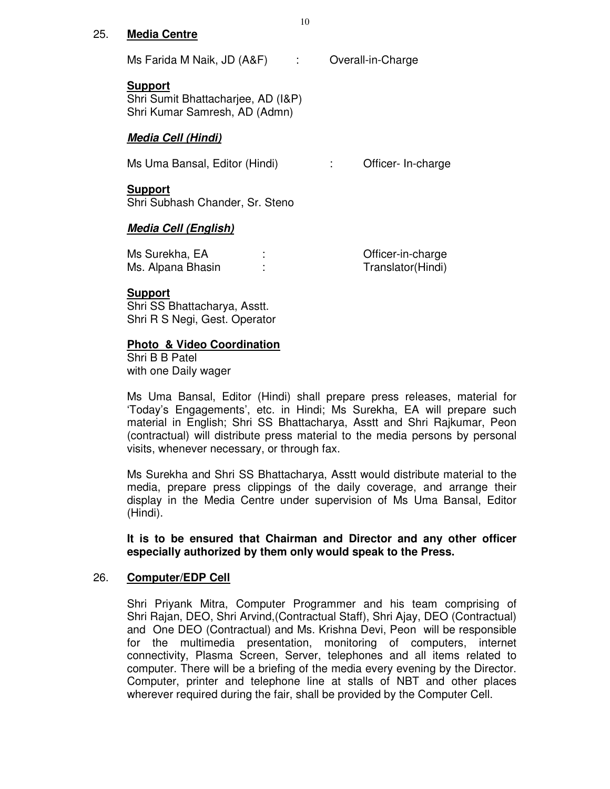#### 25. **Media Centre**

Ms Farida M Naik, JD (A&F) : Overall-in-Charge

#### **Support**

Shri Sumit Bhattacharjee, AD (I&P) Shri Kumar Samresh, AD (Admn)

### **Media Cell (Hindi)**

Ms Uma Bansal, Editor (Hindi) : Cfficer- In-charge

#### **Support**

Shri Subhash Chander, Sr. Steno

# **Media Cell (English)**

| Ms Surekha, EA    | Officer-in-charge |
|-------------------|-------------------|
| Ms. Alpana Bhasin | Translator(Hindi) |

### **Support**

Shri SS Bhattacharya, Asstt. Shri R S Negi, Gest. Operator

# **Photo & Video Coordination**

 Shri B B Patel with one Daily wager

Ms Uma Bansal, Editor (Hindi) shall prepare press releases, material for 'Today's Engagements', etc. in Hindi; Ms Surekha, EA will prepare such material in English; Shri SS Bhattacharya, Asstt and Shri Rajkumar, Peon (contractual) will distribute press material to the media persons by personal visits, whenever necessary, or through fax.

Ms Surekha and Shri SS Bhattacharya, Asstt would distribute material to the media, prepare press clippings of the daily coverage, and arrange their display in the Media Centre under supervision of Ms Uma Bansal, Editor (Hindi).

**It is to be ensured that Chairman and Director and any other officer especially authorized by them only would speak to the Press.** 

#### 26. **Computer/EDP Cell**

Shri Priyank Mitra, Computer Programmer and his team comprising of Shri Rajan, DEO, Shri Arvind,(Contractual Staff), Shri Ajay, DEO (Contractual) and One DEO (Contractual) and Ms. Krishna Devi, Peon will be responsible for the multimedia presentation, monitoring of computers, internet connectivity, Plasma Screen, Server, telephones and all items related to computer. There will be a briefing of the media every evening by the Director. Computer, printer and telephone line at stalls of NBT and other places wherever required during the fair, shall be provided by the Computer Cell.

10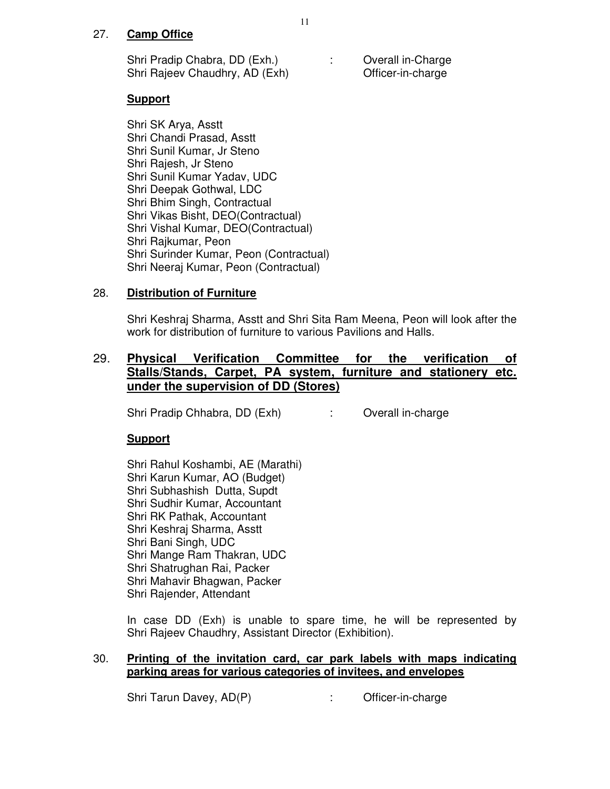# 27. **Camp Office**

Shri Pradip Chabra, DD (Exh.) : Overall in-Charge Shri Rajeev Chaudhry, AD (Exh) Officer-in-charge

### **Support**

Shri SK Arya, Asstt Shri Chandi Prasad, Asstt Shri Sunil Kumar, Jr Steno Shri Rajesh, Jr Steno Shri Sunil Kumar Yadav, UDC Shri Deepak Gothwal, LDC Shri Bhim Singh, Contractual Shri Vikas Bisht, DEO(Contractual) Shri Vishal Kumar, DEO(Contractual) Shri Rajkumar, Peon Shri Surinder Kumar, Peon (Contractual) Shri Neeraj Kumar, Peon (Contractual)

### 28. **Distribution of Furniture**

Shri Keshraj Sharma, Asstt and Shri Sita Ram Meena, Peon will look after the work for distribution of furniture to various Pavilions and Halls.

# 29. **Physical Verification Committee for the verification of Stalls/Stands, Carpet, PA system, furniture and stationery etc. under the supervision of DD (Stores)**

Shri Pradip Chhabra, DD (Exh) : Overall in-charge

#### **Support**

 Shri Rahul Koshambi, AE (Marathi) Shri Karun Kumar, AO (Budget) Shri Subhashish Dutta, Supdt Shri Sudhir Kumar, Accountant Shri RK Pathak, Accountant Shri Keshraj Sharma, Asstt Shri Bani Singh, UDC Shri Mange Ram Thakran, UDC Shri Shatrughan Rai, Packer Shri Mahavir Bhagwan, Packer Shri Rajender, Attendant

In case DD (Exh) is unable to spare time, he will be represented by Shri Rajeev Chaudhry, Assistant Director (Exhibition).

# 30. **Printing of the invitation card, car park labels with maps indicating parking areas for various categories of invitees, and envelopes**

Shri Tarun Davey, AD(P) : Chicer-in-charge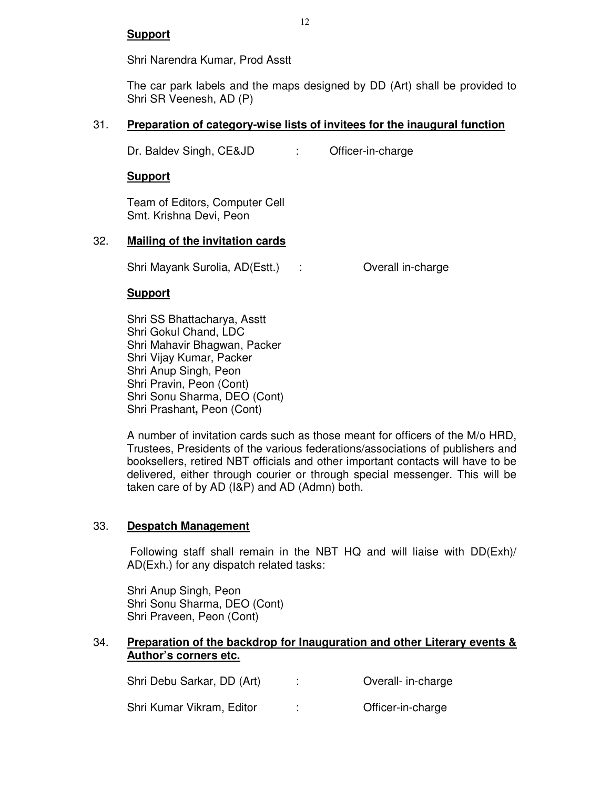Shri Narendra Kumar, Prod Asstt

The car park labels and the maps designed by DD (Art) shall be provided to Shri SR Veenesh, AD (P)

# 31. **Preparation of category-wise lists of invitees for the inaugural function**

Dr. Baldev Singh, CE&JD : Officer-in-charge

**Support**

Team of Editors, Computer Cell Smt. Krishna Devi, Peon

# 32. **Mailing of the invitation cards**

Shri Mayank Surolia, AD(Estt.) : Coverall in-charge

# **Support**

Shri SS Bhattacharya, Asstt Shri Gokul Chand, LDC Shri Mahavir Bhagwan, Packer Shri Vijay Kumar, Packer Shri Anup Singh, Peon Shri Pravin, Peon (Cont) Shri Sonu Sharma, DEO (Cont) Shri Prashant**,** Peon (Cont)

A number of invitation cards such as those meant for officers of the M/o HRD, Trustees, Presidents of the various federations/associations of publishers and booksellers, retired NBT officials and other important contacts will have to be delivered, either through courier or through special messenger. This will be taken care of by AD (I&P) and AD (Admn) both.

# 33. **Despatch Management**

 Following staff shall remain in the NBT HQ and will liaise with DD(Exh)/ AD(Exh.) for any dispatch related tasks:

 Shri Anup Singh, Peon Shri Sonu Sharma, DEO (Cont) Shri Praveen, Peon (Cont)

# 34. **Preparation of the backdrop for Inauguration and other Literary events & Author's corners etc.**

| Shri Debu Sarkar, DD (Art) | Overall- in-charge |
|----------------------------|--------------------|
| Shri Kumar Vikram, Editor  | Officer-in-charge  |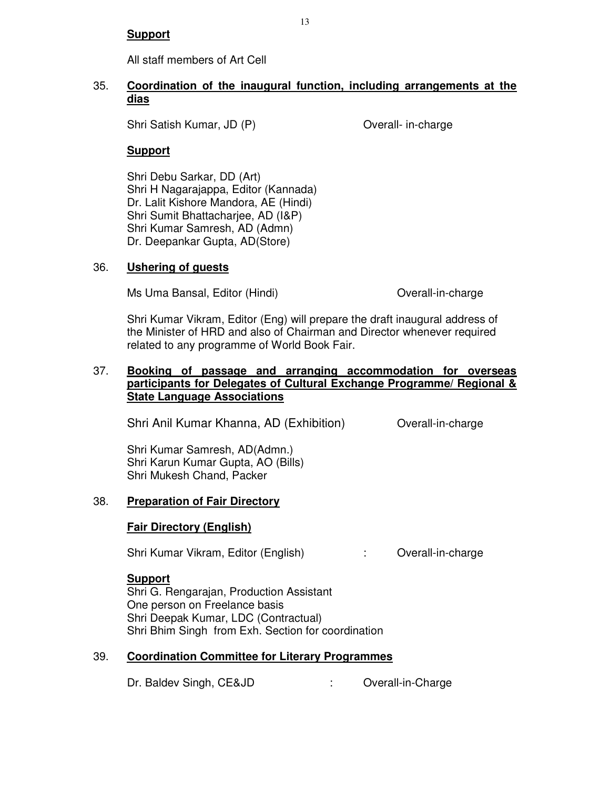All staff members of Art Cell

### 35. **Coordination of the inaugural function, including arrangements at the dias**

Shri Satish Kumar, JD (P) Overall- in-charge

# **Support**

Shri Debu Sarkar, DD (Art) Shri H Nagarajappa, Editor (Kannada) Dr. Lalit Kishore Mandora, AE (Hindi) Shri Sumit Bhattacharjee, AD (I&P) Shri Kumar Samresh, AD (Admn) Dr. Deepankar Gupta, AD(Store)

# 36. **Ushering of guests**

Ms Uma Bansal, Editor (Hindi) Coverall-in-charge

Shri Kumar Vikram, Editor (Eng) will prepare the draft inaugural address of the Minister of HRD and also of Chairman and Director whenever required related to any programme of World Book Fair.

# 37. **Booking of passage and arranging accommodation for overseas participants for Delegates of Cultural Exchange Programme/ Regional & State Language Associations**

Shri Anil Kumar Khanna, AD (Exhibition) Overall-in-charge

Shri Kumar Samresh, AD(Admn.) Shri Karun Kumar Gupta, AO (Bills) Shri Mukesh Chand, Packer

# 38. **Preparation of Fair Directory**

# **Fair Directory (English)**

Shri Kumar Vikram, Editor (English) : Overall-in-charge

# **Support**

 Shri G. Rengarajan, Production Assistant One person on Freelance basis Shri Deepak Kumar, LDC (Contractual) Shri Bhim Singh from Exh. Section for coordination

# 39. **Coordination Committee for Literary Programmes**

Dr. Baldev Singh, CE&JD : Overall-in-Charge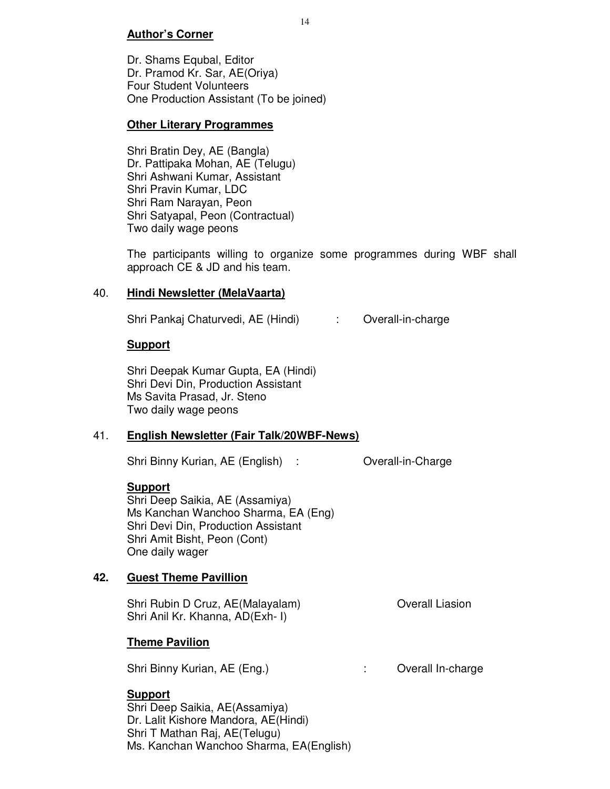# **Author's Corner**

Dr. Shams Equbal, Editor Dr. Pramod Kr. Sar, AE(Oriya) Four Student Volunteers One Production Assistant (To be joined)

# **Other Literary Programmes**

Shri Bratin Dey, AE (Bangla) Dr. Pattipaka Mohan, AE (Telugu) Shri Ashwani Kumar, Assistant Shri Pravin Kumar, LDC Shri Ram Narayan, Peon Shri Satyapal, Peon (Contractual) Two daily wage peons

The participants willing to organize some programmes during WBF shall approach CE & JD and his team.

# 40. **Hindi Newsletter (MelaVaarta)**

Shri Pankaj Chaturvedi, AE (Hindi) : Overall-in-charge

# **Support**

Shri Deepak Kumar Gupta, EA (Hindi) Shri Devi Din, Production Assistant Ms Savita Prasad, Jr. Steno Two daily wage peons

# 41. **English Newsletter (Fair Talk/20WBF-News)**

Shri Binny Kurian, AE (English) : Overall-in-Charge

# **Support**

Shri Deep Saikia, AE (Assamiya) Ms Kanchan Wanchoo Sharma, EA (Eng) Shri Devi Din, Production Assistant Shri Amit Bisht, Peon (Cont) One daily wager

# **42. Guest Theme Pavillion**

Shri Rubin D Cruz, AE(Malayalam) **Overall Liasion** Shri Anil Kr. Khanna, AD(Exh- I)

# **Theme Pavilion**

Shri Binny Kurian, AE (Eng.) : Coverall In-charge

# **Support**

Shri Deep Saikia, AE(Assamiya) Dr. Lalit Kishore Mandora, AE(Hindi) Shri T Mathan Raj, AE(Telugu) Ms. Kanchan Wanchoo Sharma, EA(English)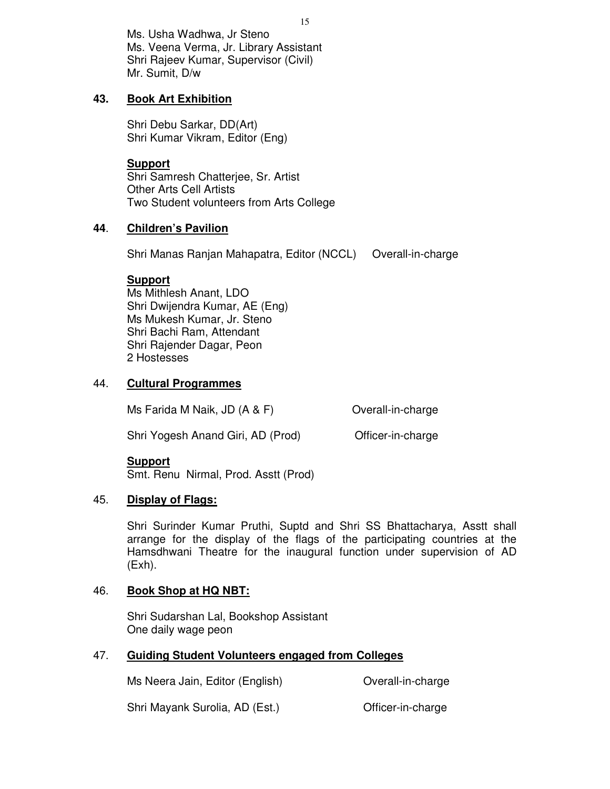Ms. Usha Wadhwa, Jr Steno Ms. Veena Verma, Jr. Library Assistant Shri Rajeev Kumar, Supervisor (Civil) Mr. Sumit, D/w

# **43. Book Art Exhibition**

 Shri Debu Sarkar, DD(Art) Shri Kumar Vikram, Editor (Eng)

**Support**  Shri Samresh Chatterjee, Sr. Artist Other Arts Cell Artists Two Student volunteers from Arts College

# **44**. **Children's Pavilion**

Shri Manas Ranjan Mahapatra, Editor (NCCL) Overall-in-charge

#### **Support**

Ms Mithlesh Anant, LDO Shri Dwijendra Kumar, AE (Eng) Ms Mukesh Kumar, Jr. Steno Shri Bachi Ram, Attendant Shri Rajender Dagar, Peon 2 Hostesses

### 44. **Cultural Programmes**

Ms Farida M Naik, JD (A & F) Overall-in-charge

Shri Yogesh Anand Giri, AD (Prod) Officer-in-charge

#### **Support**

Smt. Renu Nirmal, Prod. Asstt (Prod)

# 45. **Display of Flags:**

Shri Surinder Kumar Pruthi, Suptd and Shri SS Bhattacharya, Asstt shall arrange for the display of the flags of the participating countries at the Hamsdhwani Theatre for the inaugural function under supervision of AD (Exh).

# 46. **Book Shop at HQ NBT:**

 Shri Sudarshan Lal, Bookshop Assistant One daily wage peon

# 47. **Guiding Student Volunteers engaged from Colleges**

Ms Neera Jain, Editor (English) **Containers** Overall-in-charge

Shri Mayank Surolia, AD (Est.) Christen-in-charge